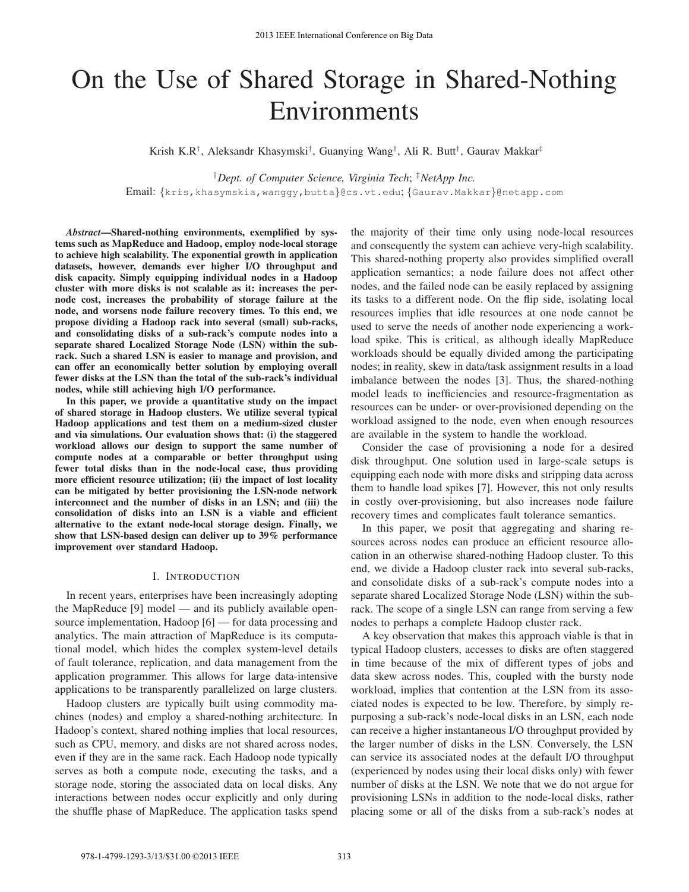# On the Use of Shared Storage in Shared-Nothing Environments

Krish K.R<sup>†</sup>, Aleksandr Khasymski<sup>†</sup>, Guanying Wang<sup>†</sup>, Ali R. Butt<sup>†</sup>, Gaurav Makkar<sup>‡</sup>

†*Dept. of Computer Science, Virginia Tech*; ‡*NetApp Inc.* Email: {kris,khasymskia,wanggy,butta}@cs.vt.edu; {Gaurav.Makkar}@netapp.com

*Abstract***—Shared-nothing environments, exemplified by systems such as MapReduce and Hadoop, employ node-local storage to achieve high scalability. The exponential growth in application datasets, however, demands ever higher I/O throughput and disk capacity. Simply equipping individual nodes in a Hadoop cluster with more disks is not scalable as it: increases the pernode cost, increases the probability of storage failure at the node, and worsens node failure recovery times. To this end, we propose dividing a Hadoop rack into several (small) sub-racks, and consolidating disks of a sub-rack's compute nodes into a separate shared Localized Storage Node (LSN) within the subrack. Such a shared LSN is easier to manage and provision, and can offer an economically better solution by employing overall fewer disks at the LSN than the total of the sub-rack's individual nodes, while still achieving high I/O performance.**

**In this paper, we provide a quantitative study on the impact of shared storage in Hadoop clusters. We utilize several typical Hadoop applications and test them on a medium-sized cluster and via simulations. Our evaluation shows that: (i) the staggered workload allows our design to support the same number of compute nodes at a comparable or better throughput using fewer total disks than in the node-local case, thus providing more efficient resource utilization; (ii) the impact of lost locality can be mitigated by better provisioning the LSN-node network interconnect and the number of disks in an LSN; and (iii) the consolidation of disks into an LSN is a viable and efficient alternative to the extant node-local storage design. Finally, we show that LSN-based design can deliver up to 39% performance improvement over standard Hadoop.**

#### I. INTRODUCTION

In recent years, enterprises have been increasingly adopting the MapReduce [9] model — and its publicly available opensource implementation, Hadoop [6] — for data processing and analytics. The main attraction of MapReduce is its computational model, which hides the complex system-level details of fault tolerance, replication, and data management from the application programmer. This allows for large data-intensive applications to be transparently parallelized on large clusters.

Hadoop clusters are typically built using commodity machines (nodes) and employ a shared-nothing architecture. In Hadoop's context, shared nothing implies that local resources, such as CPU, memory, and disks are not shared across nodes, even if they are in the same rack. Each Hadoop node typically serves as both a compute node, executing the tasks, and a storage node, storing the associated data on local disks. Any interactions between nodes occur explicitly and only during the shuffle phase of MapReduce. The application tasks spend

the majority of their time only using node-local resources and consequently the system can achieve very-high scalability. This shared-nothing property also provides simplified overall application semantics; a node failure does not affect other nodes, and the failed node can be easily replaced by assigning its tasks to a different node. On the flip side, isolating local resources implies that idle resources at one node cannot be used to serve the needs of another node experiencing a workload spike. This is critical, as although ideally MapReduce workloads should be equally divided among the participating nodes; in reality, skew in data/task assignment results in a load imbalance between the nodes [3]. Thus, the shared-nothing model leads to inefficiencies and resource-fragmentation as resources can be under- or over-provisioned depending on the workload assigned to the node, even when enough resources are available in the system to handle the workload.

Consider the case of provisioning a node for a desired disk throughput. One solution used in large-scale setups is equipping each node with more disks and stripping data across them to handle load spikes [7]. However, this not only results in costly over-provisioning, but also increases node failure recovery times and complicates fault tolerance semantics.

In this paper, we posit that aggregating and sharing resources across nodes can produce an efficient resource allocation in an otherwise shared-nothing Hadoop cluster. To this end, we divide a Hadoop cluster rack into several sub-racks, and consolidate disks of a sub-rack's compute nodes into a separate shared Localized Storage Node (LSN) within the subrack. The scope of a single LSN can range from serving a few nodes to perhaps a complete Hadoop cluster rack.

A key observation that makes this approach viable is that in typical Hadoop clusters, accesses to disks are often staggered in time because of the mix of different types of jobs and data skew across nodes. This, coupled with the bursty node workload, implies that contention at the LSN from its associated nodes is expected to be low. Therefore, by simply repurposing a sub-rack's node-local disks in an LSN, each node can receive a higher instantaneous I/O throughput provided by the larger number of disks in the LSN. Conversely, the LSN can service its associated nodes at the default I/O throughput (experienced by nodes using their local disks only) with fewer number of disks at the LSN. We note that we do not argue for provisioning LSNs in addition to the node-local disks, rather placing some or all of the disks from a sub-rack's nodes at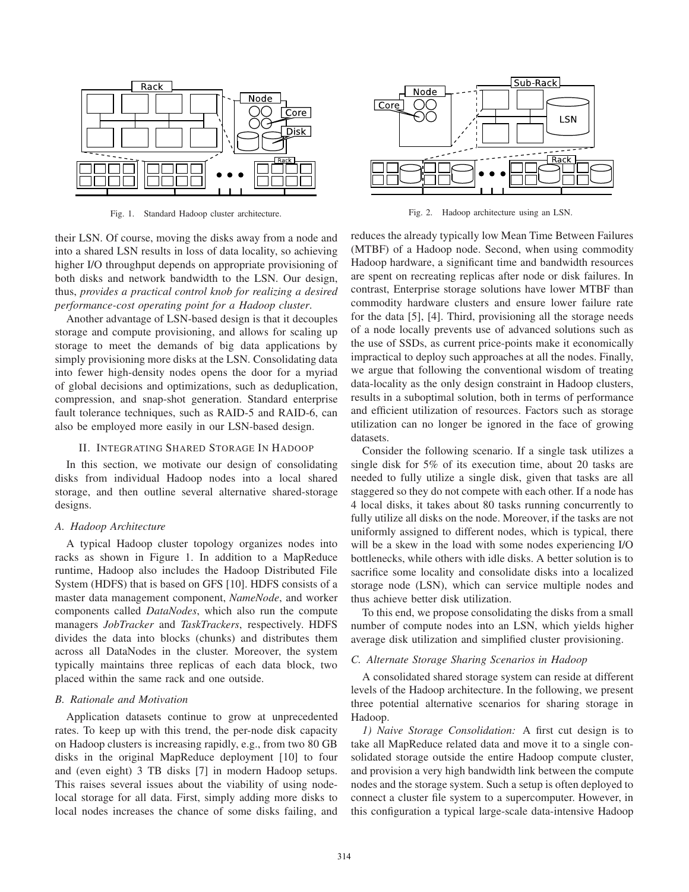

Fig. 1. Standard Hadoop cluster architecture.

their LSN. Of course, moving the disks away from a node and into a shared LSN results in loss of data locality, so achieving higher I/O throughput depends on appropriate provisioning of both disks and network bandwidth to the LSN. Our design, thus, *provides a practical control knob for realizing a desired performance-cost operating point for a Hadoop cluster*.

Another advantage of LSN-based design is that it decouples storage and compute provisioning, and allows for scaling up storage to meet the demands of big data applications by simply provisioning more disks at the LSN. Consolidating data into fewer high-density nodes opens the door for a myriad of global decisions and optimizations, such as deduplication, compression, and snap-shot generation. Standard enterprise fault tolerance techniques, such as RAID-5 and RAID-6, can also be employed more easily in our LSN-based design.

### II. INTEGRATING SHARED STORAGE IN HADOOP

In this section, we motivate our design of consolidating disks from individual Hadoop nodes into a local shared storage, and then outline several alternative shared-storage designs.

## *A. Hadoop Architecture*

A typical Hadoop cluster topology organizes nodes into racks as shown in Figure 1. In addition to a MapReduce runtime, Hadoop also includes the Hadoop Distributed File System (HDFS) that is based on GFS [10]. HDFS consists of a master data management component, *NameNode*, and worker components called *DataNodes*, which also run the compute managers *JobTracker* and *TaskTrackers*, respectively. HDFS divides the data into blocks (chunks) and distributes them across all DataNodes in the cluster. Moreover, the system typically maintains three replicas of each data block, two placed within the same rack and one outside.

# *B. Rationale and Motivation*

Application datasets continue to grow at unprecedented rates. To keep up with this trend, the per-node disk capacity on Hadoop clusters is increasing rapidly, e.g., from two 80 GB disks in the original MapReduce deployment [10] to four and (even eight) 3 TB disks [7] in modern Hadoop setups. This raises several issues about the viability of using nodelocal storage for all data. First, simply adding more disks to local nodes increases the chance of some disks failing, and



Fig. 2. Hadoop architecture using an LSN.

reduces the already typically low Mean Time Between Failures (MTBF) of a Hadoop node. Second, when using commodity Hadoop hardware, a significant time and bandwidth resources are spent on recreating replicas after node or disk failures. In contrast, Enterprise storage solutions have lower MTBF than commodity hardware clusters and ensure lower failure rate for the data [5], [4]. Third, provisioning all the storage needs of a node locally prevents use of advanced solutions such as the use of SSDs, as current price-points make it economically impractical to deploy such approaches at all the nodes. Finally, we argue that following the conventional wisdom of treating data-locality as the only design constraint in Hadoop clusters, results in a suboptimal solution, both in terms of performance and efficient utilization of resources. Factors such as storage utilization can no longer be ignored in the face of growing datasets.

Consider the following scenario. If a single task utilizes a single disk for 5% of its execution time, about 20 tasks are needed to fully utilize a single disk, given that tasks are all staggered so they do not compete with each other. If a node has 4 local disks, it takes about 80 tasks running concurrently to fully utilize all disks on the node. Moreover, if the tasks are not uniformly assigned to different nodes, which is typical, there will be a skew in the load with some nodes experiencing I/O bottlenecks, while others with idle disks. A better solution is to sacrifice some locality and consolidate disks into a localized storage node (LSN), which can service multiple nodes and thus achieve better disk utilization.

To this end, we propose consolidating the disks from a small number of compute nodes into an LSN, which yields higher average disk utilization and simplified cluster provisioning.

#### *C. Alternate Storage Sharing Scenarios in Hadoop*

A consolidated shared storage system can reside at different levels of the Hadoop architecture. In the following, we present three potential alternative scenarios for sharing storage in Hadoop.

*1) Naive Storage Consolidation:* A first cut design is to take all MapReduce related data and move it to a single consolidated storage outside the entire Hadoop compute cluster, and provision a very high bandwidth link between the compute nodes and the storage system. Such a setup is often deployed to connect a cluster file system to a supercomputer. However, in this configuration a typical large-scale data-intensive Hadoop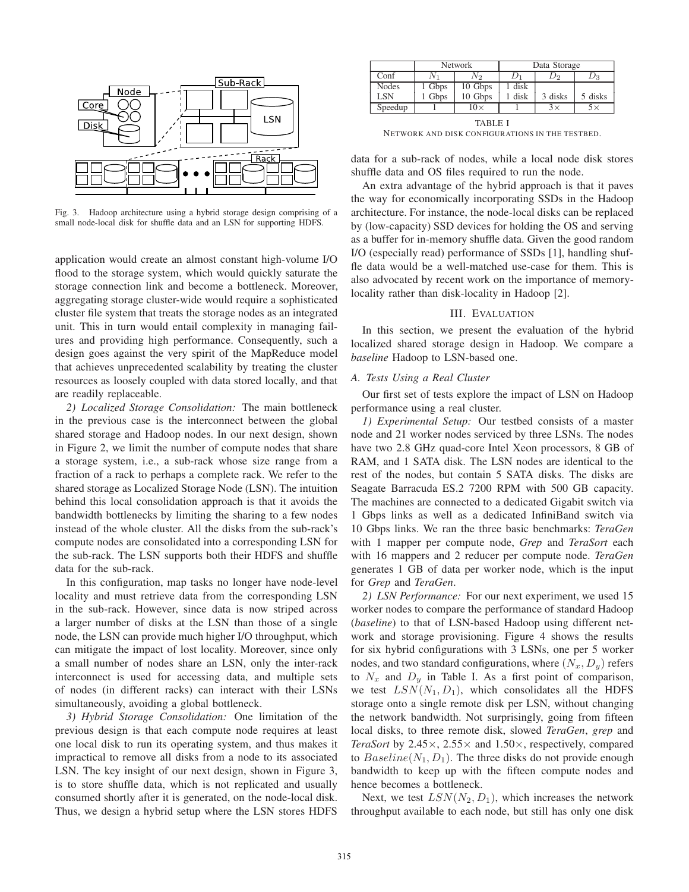

Fig. 3. Hadoop architecture using a hybrid storage design comprising of a small node-local disk for shuffle data and an LSN for supporting HDFS.

application would create an almost constant high-volume I/O flood to the storage system, which would quickly saturate the storage connection link and become a bottleneck. Moreover, aggregating storage cluster-wide would require a sophisticated cluster file system that treats the storage nodes as an integrated unit. This in turn would entail complexity in managing failures and providing high performance. Consequently, such a design goes against the very spirit of the MapReduce model that achieves unprecedented scalability by treating the cluster resources as loosely coupled with data stored locally, and that are readily replaceable.

*2) Localized Storage Consolidation:* The main bottleneck in the previous case is the interconnect between the global shared storage and Hadoop nodes. In our next design, shown in Figure 2, we limit the number of compute nodes that share a storage system, i.e., a sub-rack whose size range from a fraction of a rack to perhaps a complete rack. We refer to the shared storage as Localized Storage Node (LSN). The intuition behind this local consolidation approach is that it avoids the bandwidth bottlenecks by limiting the sharing to a few nodes instead of the whole cluster. All the disks from the sub-rack's compute nodes are consolidated into a corresponding LSN for the sub-rack. The LSN supports both their HDFS and shuffle data for the sub-rack.

In this configuration, map tasks no longer have node-level locality and must retrieve data from the corresponding LSN in the sub-rack. However, since data is now striped across a larger number of disks at the LSN than those of a single node, the LSN can provide much higher I/O throughput, which can mitigate the impact of lost locality. Moreover, since only a small number of nodes share an LSN, only the inter-rack interconnect is used for accessing data, and multiple sets of nodes (in different racks) can interact with their LSNs simultaneously, avoiding a global bottleneck.

*3) Hybrid Storage Consolidation:* One limitation of the previous design is that each compute node requires at least one local disk to run its operating system, and thus makes it impractical to remove all disks from a node to its associated LSN. The key insight of our next design, shown in Figure 3, is to store shuffle data, which is not replicated and usually consumed shortly after it is generated, on the node-local disk. Thus, we design a hybrid setup where the LSN stores HDFS

|              | <b>Network</b> |             | Data Storage |         |         |  |  |  |
|--------------|----------------|-------------|--------------|---------|---------|--|--|--|
| Conf         |                | N2.         |              | レゥ      | D3      |  |  |  |
| <b>Nodes</b> | 1 Gbps         | 10 Gbps     | disk         |         |         |  |  |  |
| <b>LSN</b>   | Gbps           | 10 Gbps     | disk         | 3 disks | 5 disks |  |  |  |
| Speedup      |                | 10 $\times$ |              | З×      | 5×      |  |  |  |
| TARI E 1     |                |             |              |         |         |  |  |  |

NETWORK AND DISK CONFIGURATIONS IN THE TESTBED.

data for a sub-rack of nodes, while a local node disk stores shuffle data and OS files required to run the node.

An extra advantage of the hybrid approach is that it paves the way for economically incorporating SSDs in the Hadoop architecture. For instance, the node-local disks can be replaced by (low-capacity) SSD devices for holding the OS and serving as a buffer for in-memory shuffle data. Given the good random I/O (especially read) performance of SSDs [1], handling shuffle data would be a well-matched use-case for them. This is also advocated by recent work on the importance of memorylocality rather than disk-locality in Hadoop [2].

### III. EVALUATION

In this section, we present the evaluation of the hybrid localized shared storage design in Hadoop. We compare a *baseline* Hadoop to LSN-based one.

# *A. Tests Using a Real Cluster*

Our first set of tests explore the impact of LSN on Hadoop performance using a real cluster.

*1) Experimental Setup:* Our testbed consists of a master node and 21 worker nodes serviced by three LSNs. The nodes have two 2.8 GHz quad-core Intel Xeon processors, 8 GB of RAM, and 1 SATA disk. The LSN nodes are identical to the rest of the nodes, but contain 5 SATA disks. The disks are Seagate Barracuda ES.2 7200 RPM with 500 GB capacity. The machines are connected to a dedicated Gigabit switch via 1 Gbps links as well as a dedicated InfiniBand switch via 10 Gbps links. We ran the three basic benchmarks: *TeraGen* with 1 mapper per compute node, *Grep* and *TeraSort* each with 16 mappers and 2 reducer per compute node. *TeraGen* generates 1 GB of data per worker node, which is the input for *Grep* and *TeraGen*.

*2) LSN Performance:* For our next experiment, we used 15 worker nodes to compare the performance of standard Hadoop (*baseline*) to that of LSN-based Hadoop using different network and storage provisioning. Figure 4 shows the results for six hybrid configurations with 3 LSNs, one per 5 worker nodes, and two standard configurations, where  $(N_x, D_y)$  refers to  $N_x$  and  $D_y$  in Table I. As a first point of comparison, we test  $LSN(N_1, D_1)$ , which consolidates all the HDFS storage onto a single remote disk per LSN, without changing the network bandwidth. Not surprisingly, going from fifteen local disks, to three remote disk, slowed *TeraGen*, *grep* and *TeraSort* by 2.45×, 2.55× and 1.50×, respectively, compared to  $Baseline(N_1, D_1)$ . The three disks do not provide enough bandwidth to keep up with the fifteen compute nodes and hence becomes a bottleneck.

Next, we test  $LSN(N_2, D_1)$ , which increases the network throughput available to each node, but still has only one disk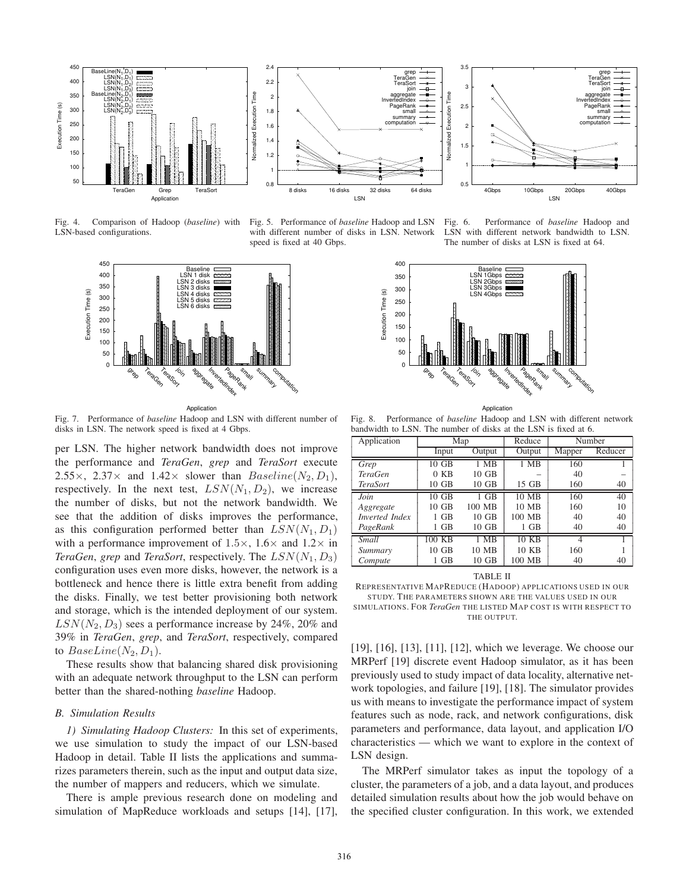

Fig. 4. Comparison of Hadoop (*baseline*) with LSN-based configurations.



Fig. 7. Performance of *baseline* Hadoop and LSN with different number of disks in LSN. The network speed is fixed at 4 Gbps.

per LSN. The higher network bandwidth does not improve the performance and *TeraGen*, *grep* and *TeraSort* execute 2.55 $\times$ , 2.37 $\times$  and 1.42 $\times$  slower than *Baseline*(N<sub>2</sub>, D<sub>1</sub>), respectively. In the next test,  $LSN(N_1, D_2)$ , we increase the number of disks, but not the network bandwidth. We see that the addition of disks improves the performance, as this configuration performed better than  $LSN(N_1, D_1)$ with a performance improvement of  $1.5 \times$ ,  $1.6 \times$  and  $1.2 \times$  in *TeraGen, grep* and *TeraSort*, respectively. The  $LSN(N_1, D_3)$ configuration uses even more disks, however, the network is a bottleneck and hence there is little extra benefit from adding the disks. Finally, we test better provisioning both network and storage, which is the intended deployment of our system.  $LSN(N_2, D_3)$  sees a performance increase by 24%, 20% and 39% in *TeraGen*, *grep*, and *TeraSort*, respectively, compared to  $BaseLine(N_2, D_1)$ .

These results show that balancing shared disk provisioning with an adequate network throughput to the LSN can perform better than the shared-nothing *baseline* Hadoop.

#### *B. Simulation Results*

*1) Simulating Hadoop Clusters:* In this set of experiments, we use simulation to study the impact of our LSN-based Hadoop in detail. Table II lists the applications and summarizes parameters therein, such as the input and output data size, the number of mappers and reducers, which we simulate.

There is ample previous research done on modeling and simulation of MapReduce workloads and setups [14], [17],



Fig. 5. Performance of *baseline* Hadoop and LSN with different number of disks in LSN. Network speed is fixed at 40 Gbps.

LSN

 $0.\overline{8}$  1 1.2 1.4 1.6 1.8 2 2.2 2.4

Fig. 6. Performance of *baseline* Hadoop and LSN with different network bandwidth to LSN. The number of disks at LSN is fixed at 64.



Fig. 8. Performance of *baseline* Hadoop and LSN with different network bandwidth to LSN. The number of disks at the LSN is fixed at 6.

| Application     | Map             |                 | Reduce | Number |         |
|-----------------|-----------------|-----------------|--------|--------|---------|
|                 | Input           | Output          | Output | Mapper | Reducer |
| Grep            | $10 \text{ GB}$ | 1 MB            | $1$ MB | 160    |         |
| <b>TeraGen</b>  | 0 <sub>KB</sub> | $10 \text{ GB}$ |        | 40     |         |
| <b>TeraSort</b> | $10 \text{ GB}$ | $10$ GB         | 15 GB  | 160    | 40      |
| Join            | $10$ GB         | $1$ GB          | 10 MB  | 160    | 40      |
| Aggregate       | $10$ GB         | 100 MB          | 10 MB  | 160    | 10      |
| Inverted Index  | 1 GB            | $10 \text{ GB}$ | 100 MB | 40     | 40      |
| PageRank        | $1$ GB          | $10$ GB         | 1 GB   | 40     | 40      |
| Small           | 100 KB          | 1 MB            | 10 KB  | 4      |         |
| Summary         | $10 \text{ GB}$ | 10 MB           | 10 KB  | 160    |         |
| Compute         | GB              | $10$ GB         | 100 MB | 40     | 40      |

TABLE II

REPRESENTATIVE MAPREDUCE (HADOOP) APPLICATIONS USED IN OUR STUDY. THE PARAMETERS SHOWN ARE THE VALUES USED IN OUR S IMULATIONS. FOR *TeraGen* THE LISTED MAP COST IS WITH RESPECT TO

THE OUTPUT.

[19], [16], [13], [11], [12], which we leverage. We choose our MRPerf [19] discrete event Hadoop simulator, as it has been previously used to study impact of data locality, alternative network topologies, and failure [19], [18]. The simulator provides us with means to investigate the performance impact of system features such as node, rack, and network configurations, disk parameters and performance, data layout, and application I/O characteristics — which we want to explore in the context of LSN design.

The MRPerf simulator takes as input the topology of a cluster, the parameters of a job, and a data layout, and produces detailed simulation results about how the job would behave on the specified cluster configuration. In this work, we extended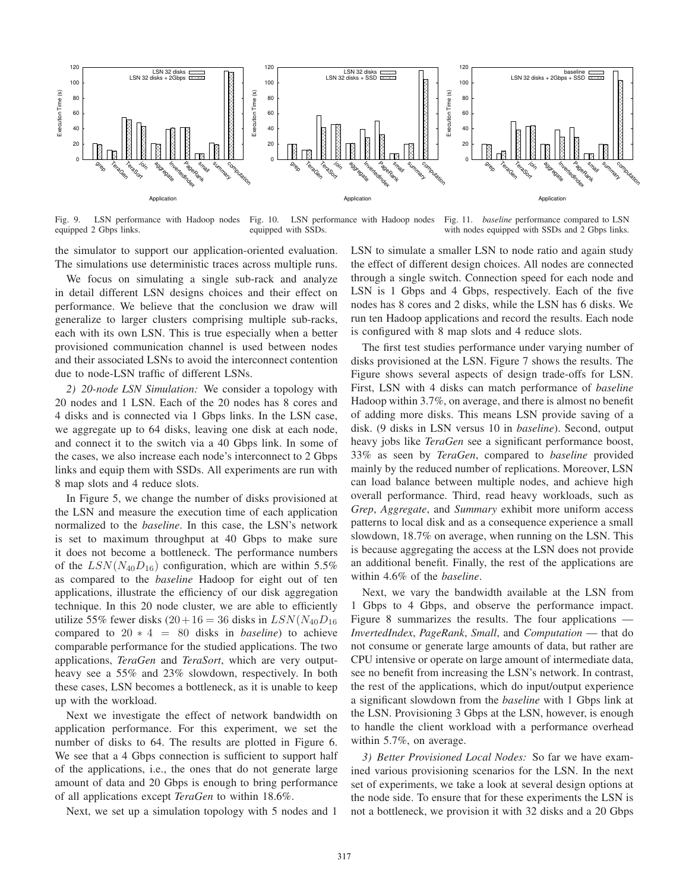

Fig. 9. LSN performance with Hadoop nodes equipped 2 Gbps links. Fig. 10. LSN performance with Hadoop nodes equipped with SSDs. Fig. 11. *baseline* performance compared to LSN with nodes equipped with SSDs and 2 Gbps links.

the simulator to support our application-oriented evaluation. The simulations use deterministic traces across multiple runs.

We focus on simulating a single sub-rack and analyze in detail different LSN designs choices and their effect on performance. We believe that the conclusion we draw will generalize to larger clusters comprising multiple sub-racks, each with its own LSN. This is true especially when a better provisioned communication channel is used between nodes and their associated LSNs to avoid the interconnect contention due to node-LSN traffic of different LSNs.

*2) 20-node LSN Simulation:* We consider a topology with 20 nodes and 1 LSN. Each of the 20 nodes has 8 cores and 4 disks and is connected via 1 Gbps links. In the LSN case, we aggregate up to 64 disks, leaving one disk at each node, and connect it to the switch via a 40 Gbps link. In some of the cases, we also increase each node's interconnect to 2 Gbps links and equip them with SSDs. All experiments are run with 8 map slots and 4 reduce slots.

In Figure 5, we change the number of disks provisioned at the LSN and measure the execution time of each application normalized to the *baseline*. In this case, the LSN's network is set to maximum throughput at 40 Gbps to make sure it does not become a bottleneck. The performance numbers of the  $LSN(N_{40}D_{16})$  configuration, which are within 5.5% as compared to the *baseline* Hadoop for eight out of ten applications, illustrate the efficiency of our disk aggregation technique. In this 20 node cluster, we are able to efficiently utilize 55% fewer disks (20+16 = 36 disks in  $LSN(N_{40}D_{16})$ compared to  $20 * 4 = 80$  disks in *baseline*) to achieve comparable performance for the studied applications. The two applications, *TeraGen* and *TeraSort*, which are very outputheavy see a 55% and 23% slowdown, respectively. In both these cases, LSN becomes a bottleneck, as it is unable to keep up with the workload.

Next we investigate the effect of network bandwidth on application performance. For this experiment, we set the number of disks to 64. The results are plotted in Figure 6. We see that a 4 Gbps connection is sufficient to support half of the applications, i.e., the ones that do not generate large amount of data and 20 Gbps is enough to bring performance of all applications except *TeraGen* to within 18.6%.

Next, we set up a simulation topology with 5 nodes and 1

LSN to simulate a smaller LSN to node ratio and again study the effect of different design choices. All nodes are connected through a single switch. Connection speed for each node and LSN is 1 Gbps and 4 Gbps, respectively. Each of the five nodes has 8 cores and 2 disks, while the LSN has 6 disks. We run ten Hadoop applications and record the results. Each node is configured with 8 map slots and 4 reduce slots.

The first test studies performance under varying number of disks provisioned at the LSN. Figure 7 shows the results. The Figure shows several aspects of design trade-offs for LSN. First, LSN with 4 disks can match performance of *baseline* Hadoop within 3.7%, on average, and there is almost no benefit of adding more disks. This means LSN provide saving of a disk. (9 disks in LSN versus 10 in *baseline*). Second, output heavy jobs like *TeraGen* see a significant performance boost, 33% as seen by *TeraGen*, compared to *baseline* provided mainly by the reduced number of replications. Moreover, LSN can load balance between multiple nodes, and achieve high overall performance. Third, read heavy workloads, such as *Grep*, *Aggregate*, and *Summary* exhibit more uniform access patterns to local disk and as a consequence experience a small slowdown, 18.7% on average, when running on the LSN. This is because aggregating the access at the LSN does not provide an additional benefit. Finally, the rest of the applications are within 4.6% of the *baseline*.

Next, we vary the bandwidth available at the LSN from 1 Gbps to 4 Gbps, and observe the performance impact. Figure 8 summarizes the results. The four applications — *InvertedIndex*, *PageRank*, *Small*, and *Computation* — that do not consume or generate large amounts of data, but rather are CPU intensive or operate on large amount of intermediate data, see no benefit from increasing the LSN's network. In contrast, the rest of the applications, which do input/output experience a significant slowdown from the *baseline* with 1 Gbps link at the LSN. Provisioning 3 Gbps at the LSN, however, is enough to handle the client workload with a performance overhead within 5.7%, on average.

*3) Better Provisioned Local Nodes:* So far we have examined various provisioning scenarios for the LSN. In the next set of experiments, we take a look at several design options at the node side. To ensure that for these experiments the LSN is not a bottleneck, we provision it with 32 disks and a 20 Gbps